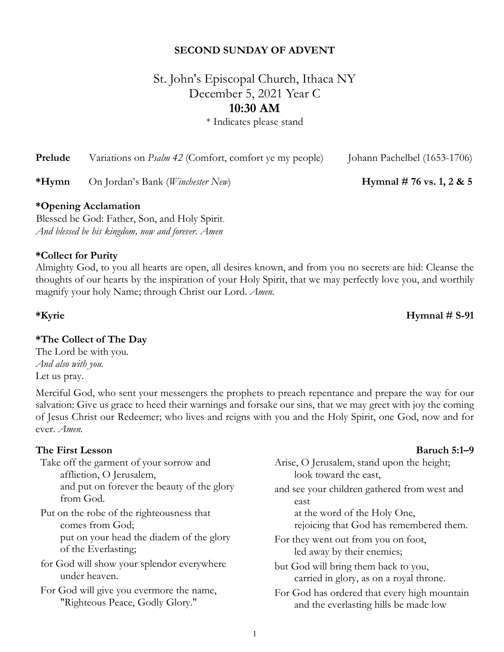### **SECOND SUNDAY OF ADVENT**

# St. John's Episcopal Church, Ithaca NY December 5, 2021 Year C **10:30 AM**

\* Indicates please stand

| Prelude | Variations on <i>Psalm</i> 42 (Comfort, comfort ye my people) |  |  | Johann Pachelbel (1653-1706) |
|---------|---------------------------------------------------------------|--|--|------------------------------|
|---------|---------------------------------------------------------------|--|--|------------------------------|

**\*Hymn** On Jordan's Bank (*Winchester New*) **Hymnal # 76 vs. 1, 2 & 5**

#### **\*Opening Acclamation**

Blessed be God: Father, Son, and Holy Spirit. *And blessed be his kingdom, now and forever. Amen*

#### **\*Collect for Purity**

Almighty God, to you all hearts are open, all desires known, and from you no secrets are hid: Cleanse the thoughts of our hearts by the inspiration of your Holy Spirit, that we may perfectly love you, and worthily magnify your holy Name; through Christ our Lord. *Amen.*

### **\*The Collect of The Day**

The Lord be with you. *And also with you.* Let us pray.

Merciful God, who sent your messengers the prophets to preach repentance and prepare the way for our salvation: Give us grace to heed their warnings and forsake our sins, that we may greet with joy the coming of Jesus Christ our Redeemer; who lives and reigns with you and the Holy Spirit, one God, now and for ever. *Amen.*

#### **The First Lesson Baruch 5:1–9**

Take off the garment of your sorrow and affliction, O Jerusalem, and put on forever the beauty of the glory from God.

Put on the robe of the righteousness that comes from God; put on your head the diadem of the glory of the Everlasting;

for God will show your splendor everywhere under heaven.

For God will give you evermore the name, "Righteous Peace, Godly Glory."

| Arise, O Jerusalem, stand upon the height;   |
|----------------------------------------------|
| look toward the east,                        |
| and see your children gathered from west and |
| east                                         |
| at the word of the Holy One,                 |
| rejoicing that God has remembered them.      |
| For they went out from you on foot,          |
| led away by their enemies;                   |
| but God will bring them back to you,         |
| carried in glory, as on a royal throne.      |
| For God has ordered that every high mountain |
|                                              |

and the everlasting hills be made low

#### **\*Kyrie Hymnal # S-91**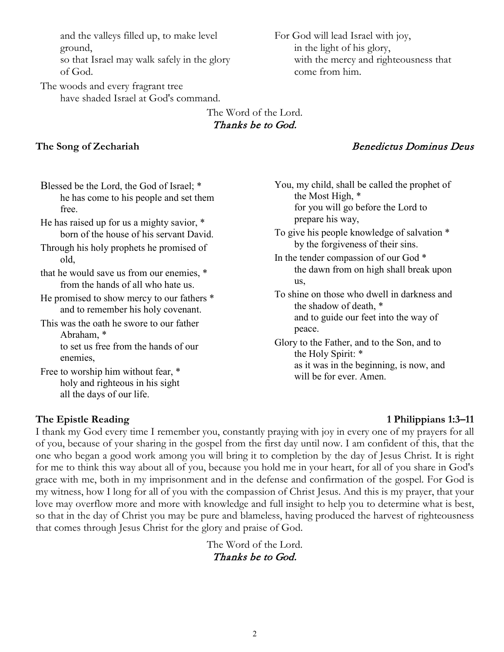and the valleys filled up, to make level ground,

so that Israel may walk safely in the glory of God.

The woods and every fragrant tree have shaded Israel at God's command. For God will lead Israel with joy, in the light of his glory, with the mercy and righteousness that come from him.

# The Word of the Lord. Thanks be to God.

## **The Song of Zechariah** Benedictus Dominus Deus

Blessed be the Lord, the God of Israel; \* he has come to his people and set them free.

He has raised up for us a mighty savior, \* born of the house of his servant David.

Through his holy prophets he promised of old,

that he would save us from our enemies, \* from the hands of all who hate us.

He promised to show mercy to our fathers \* and to remember his holy covenant.

This was the oath he swore to our father Abraham, \* to set us free from the hands of our enemies,

Free to worship him without fear, \* holy and righteous in his sight all the days of our life.

You, my child, shall be called the prophet of the Most High, \* for you will go before the Lord to prepare his way,

- To give his people knowledge of salvation \* by the forgiveness of their sins.
- In the tender compassion of our God \* the dawn from on high shall break upon us,

To shine on those who dwell in darkness and the shadow of death, \* and to guide our feet into the way of peace.

Glory to the Father, and to the Son, and to the Holy Spirit: \* as it was in the beginning, is now, and will be for ever. Amen.

## **The Epistle Reading 1 Philippians 1:3–11**

I thank my God every time I remember you, constantly praying with joy in every one of my prayers for all of you, because of your sharing in the gospel from the first day until now. I am confident of this, that the one who began a good work among you will bring it to completion by the day of Jesus Christ. It is right for me to think this way about all of you, because you hold me in your heart, for all of you share in God's grace with me, both in my imprisonment and in the defense and confirmation of the gospel. For God is my witness, how I long for all of you with the compassion of Christ Jesus. And this is my prayer, that your love may overflow more and more with knowledge and full insight to help you to determine what is best, so that in the day of Christ you may be pure and blameless, having produced the harvest of righteousness that comes through Jesus Christ for the glory and praise of God.

> The Word of the Lord. Thanks be to God.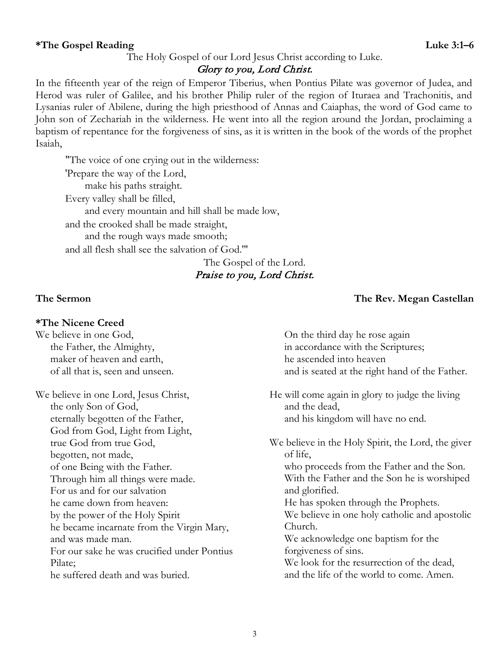### The Holy Gospel of our Lord Jesus Christ according to Luke.

## Glory to you, Lord Christ.

In the fifteenth year of the reign of Emperor Tiberius, when Pontius Pilate was governor of Judea, and Herod was ruler of Galilee, and his brother Philip ruler of the region of Ituraea and Trachonitis, and Lysanias ruler of Abilene, during the high priesthood of Annas and Caiaphas, the word of God came to John son of Zechariah in the wilderness. He went into all the region around the Jordan, proclaiming a baptism of repentance for the forgiveness of sins, as it is written in the book of the words of the prophet Isaiah,

"The voice of one crying out in the wilderness: 'Prepare the way of the Lord, make his paths straight. Every valley shall be filled, and every mountain and hill shall be made low, and the crooked shall be made straight, and the rough ways made smooth; and all flesh shall see the salvation of God.'"

## The Gospel of the Lord. Praise to you, Lord Christ.

## **\*The Nicene Creed**

We believe in one God, the Father, the Almighty, maker of heaven and earth, of all that is, seen and unseen.

We believe in one Lord, Jesus Christ, the only Son of God, eternally begotten of the Father, God from God, Light from Light, true God from true God, begotten, not made, of one Being with the Father. Through him all things were made. For us and for our salvation he came down from heaven: by the power of the Holy Spirit he became incarnate from the Virgin Mary, and was made man. For our sake he was crucified under Pontius Pilate; he suffered death and was buried.

## **The Sermon The Rev. Megan Castellan**

On the third day he rose again in accordance with the Scriptures; he ascended into heaven and is seated at the right hand of the Father.

He will come again in glory to judge the living and the dead, and his kingdom will have no end.

We believe in the Holy Spirit, the Lord, the giver of life, who proceeds from the Father and the Son. With the Father and the Son he is worshiped and glorified. He has spoken through the Prophets. We believe in one holy catholic and apostolic Church. We acknowledge one baptism for the forgiveness of sins. We look for the resurrection of the dead,

and the life of the world to come. Amen.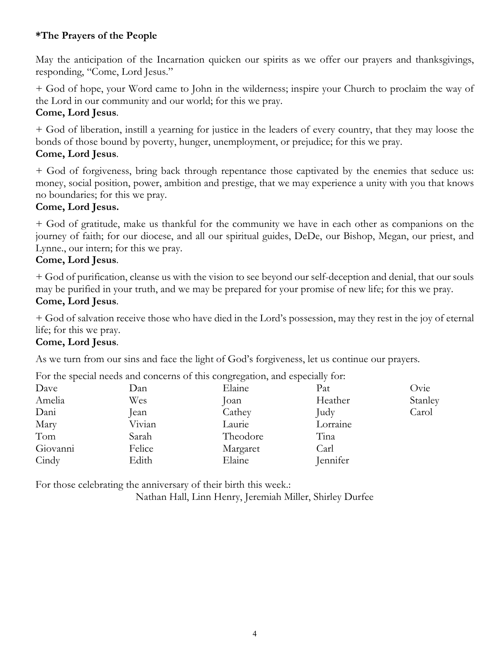# **\*The Prayers of the People**

May the anticipation of the Incarnation quicken our spirits as we offer our prayers and thanksgivings, responding, "Come, Lord Jesus."

+ God of hope, your Word came to John in the wilderness; inspire your Church to proclaim the way of the Lord in our community and our world; for this we pray.

## **Come, Lord Jesus**.

+ God of liberation, instill a yearning for justice in the leaders of every country, that they may loose the bonds of those bound by poverty, hunger, unemployment, or prejudice; for this we pray. **Come, Lord Jesus**.

+ God of forgiveness, bring back through repentance those captivated by the enemies that seduce us: money, social position, power, ambition and prestige, that we may experience a unity with you that knows no boundaries; for this we pray.

# **Come, Lord Jesus.**

+ God of gratitude, make us thankful for the community we have in each other as companions on the journey of faith; for our diocese, and all our spiritual guides, DeDe, our Bishop, Megan, our priest, and Lynne., our intern; for this we pray.

# **Come, Lord Jesus**.

+ God of purification, cleanse us with the vision to see beyond our self-deception and denial, that our souls may be purified in your truth, and we may be prepared for your promise of new life; for this we pray. **Come, Lord Jesus**.

+ God of salvation receive those who have died in the Lord's possession, may they rest in the joy of eternal life; for this we pray.

## **Come, Lord Jesus**.

As we turn from our sins and face the light of God's forgiveness, let us continue our prayers.

For the special needs and concerns of this congregation, and especially for:

|          |        | ີບ ບ     |          |         |
|----------|--------|----------|----------|---------|
| Dave     | Dan    | Elaine   | Pat      | Ovie    |
| Amelia   | Wes    | Joan     | Heather  | Stanley |
| Dani     | Jean   | Cathey   | Judy     | Carol   |
| Mary     | Vivian | Laurie   | Lorraine |         |
| Tom      | Sarah  | Theodore | Tina     |         |
| Giovanni | Felice | Margaret | Carl     |         |
| Cindy    | Edith  | Elaine   | Jennifer |         |
|          |        |          |          |         |

For those celebrating the anniversary of their birth this week.:

Nathan Hall, Linn Henry, Jeremiah Miller, Shirley Durfee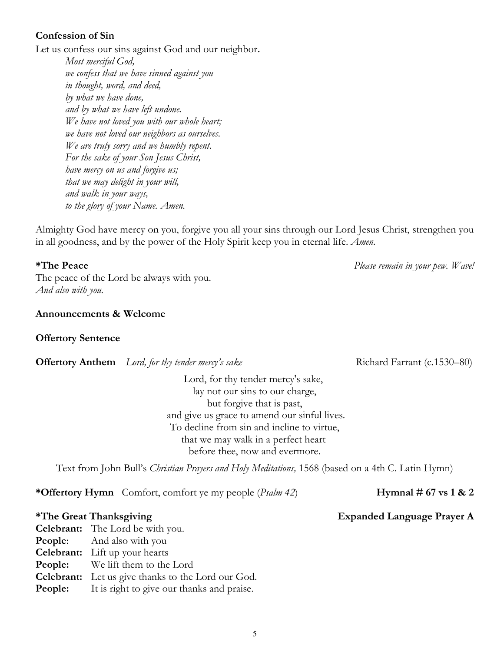## **Confession of Sin**

Let us confess our sins against God and our neighbor.

*Most merciful God, we confess that we have sinned against you in thought, word, and deed, by what we have done, and by what we have left undone. We have not loved you with our whole heart; we have not loved our neighbors as ourselves. We are truly sorry and we humbly repent. For the sake of your Son Jesus Christ, have mercy on us and forgive us; that we may delight in your will, and walk in your ways, to the glory of your Name. Amen.*

Almighty God have mercy on you, forgive you all your sins through our Lord Jesus Christ, strengthen you in all goodness, and by the power of the Holy Spirit keep you in eternal life. *Amen.*

The peace of the Lord be always with you. *And also with you.*

### **Announcements & Welcome**

### **Offertory Sentence**

**Offertory Anthem** *Lord, for thy tender mercy's sake* Richard Farrant (c.1530–80)

Lord, for thy tender mercy's sake, lay not our sins to our charge, but forgive that is past, and give us grace to amend our sinful lives. To decline from sin and incline to virtue, that we may walk in a perfect heart before thee, now and evermore.

Text from John Bull's *Christian Prayers and Holy Meditations,* 1568 (based on a 4th C. Latin Hymn)

**\*Offertory Hymn** Comfort, comfort ye my people (*Psalm 42*) **Hymnal # 67 vs 1 & 2**

## **\*The Great Thanksgiving Expanded Language Prayer A**

**Celebrant:** The Lord be with you. **People:** And also with you **Celebrant:** Lift up your hearts **People:** We lift them to the Lord **Celebrant:** Let us give thanks to the Lord our God. **People:** It is right to give our thanks and praise.

**\*The Peace** *Please remain in your pew. Wave!*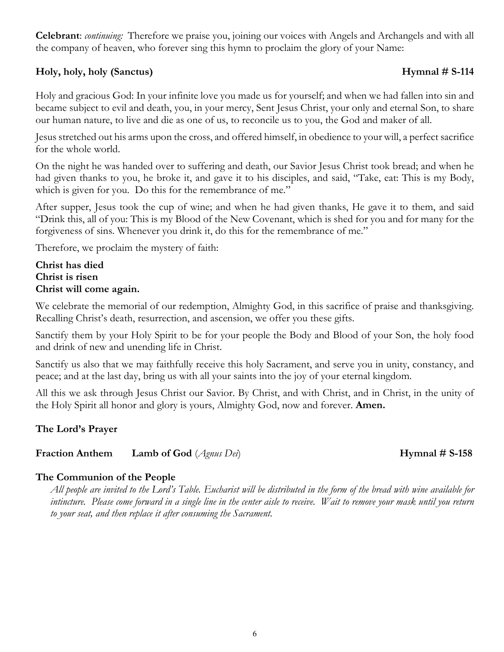**Celebrant**: *continuing:* Therefore we praise you, joining our voices with Angels and Archangels and with all the company of heaven, who forever sing this hymn to proclaim the glory of your Name:

## **Holy, holy, holy (Sanctus) Hymnal # S-114**

Holy and gracious God: In your infinite love you made us for yourself; and when we had fallen into sin and became subject to evil and death, you, in your mercy, Sent Jesus Christ, your only and eternal Son, to share our human nature, to live and die as one of us, to reconcile us to you, the God and maker of all.

Jesus stretched out his arms upon the cross, and offered himself, in obedience to your will, a perfect sacrifice for the whole world.

On the night he was handed over to suffering and death, our Savior Jesus Christ took bread; and when he had given thanks to you, he broke it, and gave it to his disciples, and said, "Take, eat: This is my Body, which is given for you. Do this for the remembrance of me."

After supper, Jesus took the cup of wine; and when he had given thanks, He gave it to them, and said "Drink this, all of you: This is my Blood of the New Covenant, which is shed for you and for many for the forgiveness of sins. Whenever you drink it, do this for the remembrance of me."

Therefore, we proclaim the mystery of faith:

## **Christ has died Christ is risen Christ will come again.**

We celebrate the memorial of our redemption, Almighty God, in this sacrifice of praise and thanksgiving. Recalling Christ's death, resurrection, and ascension, we offer you these gifts.

Sanctify them by your Holy Spirit to be for your people the Body and Blood of your Son, the holy food and drink of new and unending life in Christ.

Sanctify us also that we may faithfully receive this holy Sacrament, and serve you in unity, constancy, and peace; and at the last day, bring us with all your saints into the joy of your eternal kingdom.

All this we ask through Jesus Christ our Savior. By Christ, and with Christ, and in Christ, in the unity of the Holy Spirit all honor and glory is yours, Almighty God, now and forever. **Amen.**

# **The Lord's Prayer**

# **Fraction Anthem Lamb** of God (*Agnus Dei*) **Hymnal** # **S-158**

# **The Communion of the People**

*All people are invited to the Lord's Table. Eucharist will be distributed in the form of the bread with wine available for intincture. Please come forward in a single line in the center aisle to receive. Wait to remove your mask until you return to your seat, and then replace it after consuming the Sacrament.*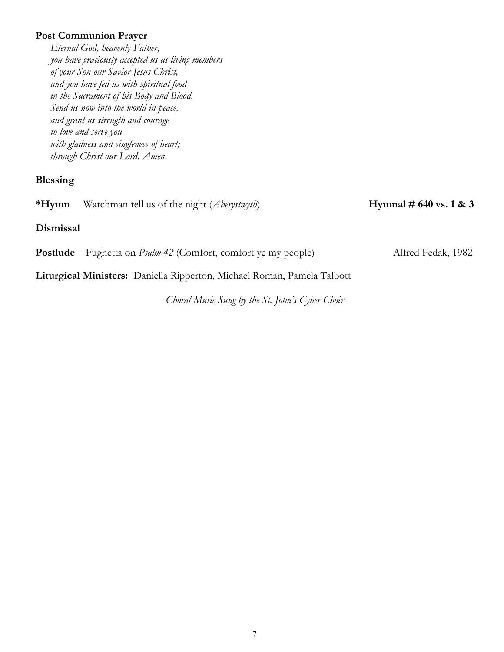## **Post Communion Prayer**

*Eternal God, heavenly Father, you have graciously accepted us as living members of your Son our Savior Jesus Christ, and you have fed us with spiritual food in the Sacrament of his Body and Blood. Send us now into the world in peace, and grant us strength and courage to love and serve you with gladness and singleness of heart; through Christ our Lord. Amen*.

#### **Blessing**

**\*Hymn** Watchman tell us of the night (*Aberystwyth*) **Hymnal # 640 vs. 1 & 3**

## **Dismissal**

**Postlude** Fughetta on *Psalm* 42 (Comfort, comfort ye my people) Alfred Fedak, 1982

**Liturgical Ministers:** Daniella Ripperton, Michael Roman, Pamela Talbott

*Choral Music Sung by the St. John's Cyber Choir*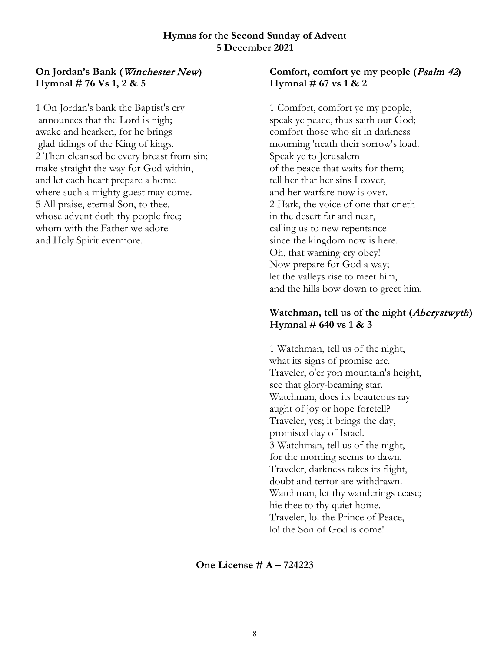### **Hymns for the Second Sunday of Advent 5 December 2021**

# **On Jordan's Bank (**Winchester New**) Hymnal # 76 Vs 1, 2 & 5**

1 On Jordan's bank the Baptist's cry announces that the Lord is nigh; awake and hearken, for he brings glad tidings of the King of kings. 2 Then cleansed be every breast from sin; make straight the way for God within, and let each heart prepare a home where such a mighty guest may come. 5 All praise, eternal Son, to thee, whose advent doth thy people free; whom with the Father we adore and Holy Spirit evermore.

## **Comfort, comfort ye my people (**Psalm 42**) Hymnal # 67 vs 1 & 2**

1 Comfort, comfort ye my people, speak ye peace, thus saith our God; comfort those who sit in darkness mourning 'neath their sorrow's load. Speak ye to Jerusalem of the peace that waits for them; tell her that her sins I cover, and her warfare now is over. 2 Hark, the voice of one that crieth in the desert far and near, calling us to new repentance since the kingdom now is here. Oh, that warning cry obey! Now prepare for God a way; let the valleys rise to meet him, and the hills bow down to greet him.

# **Watchman, tell us of the night (**Aberystwyth**) Hymnal # 640 vs 1 & 3**

1 Watchman, tell us of the night, what its signs of promise are. Traveler, o'er yon mountain's height, see that glory-beaming star. Watchman, does its beauteous ray aught of joy or hope foretell? Traveler, yes; it brings the day, promised day of Israel. 3 Watchman, tell us of the night, for the morning seems to dawn. Traveler, darkness takes its flight, doubt and terror are withdrawn. Watchman, let thy wanderings cease; hie thee to thy quiet home. Traveler, lo! the Prince of Peace, lo! the Son of God is come!

**One License # A – 724223**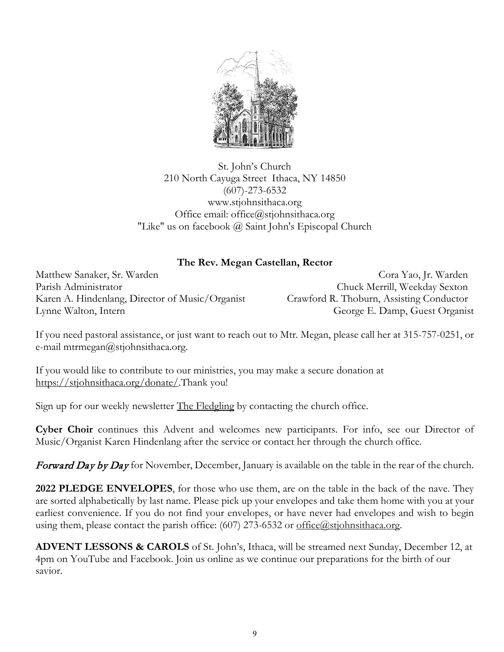

St. John's Church 210 North Cayuga Street Ithaca, NY 14850 (607)-273-6532 www.stjohnsithaca.org Office email: office@stjohnsithaca.org "Like" us on facebook @ Saint John's Episcopal Church

## **The Rev. Megan Castellan, Rector**

Matthew Sanaker, Sr. Warden Cora Yao, Jr. Warden Parish Administrator Chuck Merrill, Weekday Sexton Karen A. Hindenlang, Director of Music/Organist Crawford R. Thoburn, Assisting Conductor Lynne Walton, Intern George E. Damp, Guest Organist

If you need pastoral assistance, or just want to reach out to Mtr. Megan, please call her at 315-757-0251, or e-mail mtrmegan@stjohnsithaca.org.

If you would like to contribute to our ministries, you may make a secure donation at https://stjohnsithaca.org/donate/.Thank you!

Sign up for our weekly newsletter <u>The Fledgling</u> by contacting the church office.

**Cyber Choir** continues this Advent and welcomes new participants. For info, see our Director of Music/Organist Karen Hindenlang after the service or contact her through the church office.

Forward Day by Day for November, December, January is available on the table in the rear of the church.

**2022 PLEDGE ENVELOPES**, for those who use them, are on the table in the back of the nave. They are sorted alphabetically by last name. Please pick up your envelopes and take them home with you at your earliest convenience. If you do not find your envelopes, or have never had envelopes and wish to begin using them, please contact the parish office:  $(607)$  273-6532 or [office@stjohnsithaca.org.](mailto:office@stjohnsithaca.org)

**ADVENT LESSONS & CAROLS** of St. John's, Ithaca, will be streamed next Sunday, December 12, at 4pm on YouTube and Facebook. Join us online as we continue our preparations for the birth of our savior.